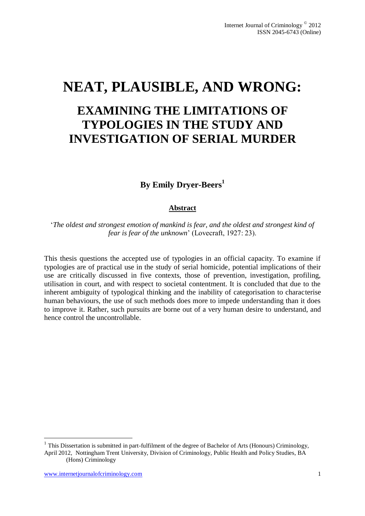# **NEAT, PLAUSIBLE, AND WRONG:**

# **EXAMINING THE LIMITATIONS OF TYPOLOGIES IN THE STUDY AND INVESTIGATION OF SERIAL MURDER**

**By Emily Dryer-Beers<sup>1</sup>**

#### **Abstract**

'*The oldest and strongest emotion of mankind is fear, and the oldest and strongest kind of fear is fear of the unknown*' (Lovecraft, 1927: 23).

This thesis questions the accepted use of typologies in an official capacity. To examine if typologies are of practical use in the study of serial homicide, potential implications of their use are critically discussed in five contexts, those of prevention, investigation, profiling, utilisation in court, and with respect to societal contentment. It is concluded that due to the inherent ambiguity of typological thinking and the inability of categorisation to characterise human behaviours, the use of such methods does more to impede understanding than it does to improve it. Rather, such pursuits are borne out of a very human desire to understand, and hence control the uncontrollable.

<u>.</u>

 $1$  This Dissertation is submitted in part-fulfilment of the degree of Bachelor of Arts (Honours) Criminology, April 2012, Nottingham Trent University, Division of Criminology, Public Health and Policy Studies, BA (Hons) Criminology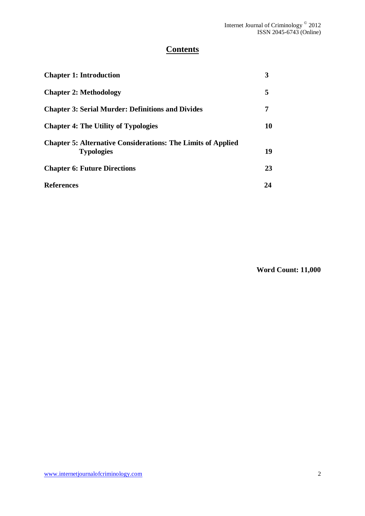# **Contents**

| <b>Chapter 1: Introduction</b>                                                           | 3  |
|------------------------------------------------------------------------------------------|----|
| <b>Chapter 2: Methodology</b>                                                            | 5  |
| <b>Chapter 3: Serial Murder: Definitions and Divides</b>                                 | 7  |
| <b>Chapter 4: The Utility of Typologies</b>                                              | 10 |
| <b>Chapter 5: Alternative Considerations: The Limits of Applied</b><br><b>Typologies</b> | 19 |
| <b>Chapter 6: Future Directions</b>                                                      | 23 |
| <b>References</b>                                                                        | 24 |

**Word Count: 11,000**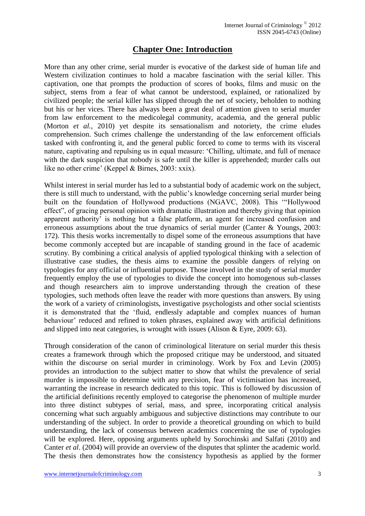## **Chapter One: Introduction**

More than any other crime, serial murder is evocative of the darkest side of human life and Western civilization continues to hold a macabre fascination with the serial killer. This captivation, one that prompts the production of scores of books, films and music on the subject, stems from a fear of what cannot be understood, explained, or rationalized by civilized people; the serial killer has slipped through the net of society, beholden to nothing but his or her vices. There has always been a great deal of attention given to serial murder from law enforcement to the medicolegal community, academia, and the general public (Morton *et al.,* 2010) yet despite its sensationalism and notoriety, the crime eludes comprehension. Such crimes challenge the understanding of the law enforcement officials tasked with confronting it, and the general public forced to come to terms with its visceral nature, captivating and repulsing us in equal measure: 'Chilling, ultimate, and full of menace with the dark suspicion that nobody is safe until the killer is apprehended; murder calls out like no other crime' (Keppel & Birnes, 2003: xxix).

Whilst interest in serial murder has led to a substantial body of academic work on the subject, there is still much to understand, with the public's knowledge concerning serial murder being built on the foundation of Hollywood productions (NGAVC, 2008). This '"Hollywood effect", of gracing personal opinion with dramatic illustration and thereby giving that opinion apparent authority' is nothing but a false platform, an agent for increased confusion and erroneous assumptions about the true dynamics of serial murder (Canter & Youngs, 2003: 172). This thesis works incrementally to dispel some of the erroneous assumptions that have become commonly accepted but are incapable of standing ground in the face of academic scrutiny. By combining a critical analysis of applied typological thinking with a selection of illustrative case studies, the thesis aims to examine the possible dangers of relying on typologies for any official or influential purpose. Those involved in the study of serial murder frequently employ the use of typologies to divide the concept into homogenous sub-classes and though researchers aim to improve understanding through the creation of these typologies, such methods often leave the reader with more questions than answers. By using the work of a variety of criminologists, investigative psychologists and other social scientists it is demonstrated that the 'fluid, endlessly adaptable and complex nuances of human behaviour' reduced and refined to token phrases, explained away with artificial definitions and slipped into neat categories, is wrought with issues (Alison & Eyre, 2009: 63).

Through consideration of the canon of criminological literature on serial murder this thesis creates a framework through which the proposed critique may be understood, and situated within the discourse on serial murder in criminology. Work by Fox and Levin (2005) provides an introduction to the subject matter to show that whilst the prevalence of serial murder is impossible to determine with any precision, fear of victimisation has increased, warranting the increase in research dedicated to this topic. This is followed by discussion of the artificial definitions recently employed to categorise the phenomenon of multiple murder into three distinct subtypes of serial, mass, and spree, incorporating critical analysis concerning what such arguably ambiguous and subjective distinctions may contribute to our understanding of the subject. In order to provide a theoretical grounding on which to build understanding, the lack of consensus between academics concerning the use of typologies will be explored. Here, opposing arguments upheld by Sorochinski and Salfati (2010) and Canter *et al*. (2004) will provide an overview of the disputes that splinter the academic world. The thesis then demonstrates how the consistency hypothesis as applied by the former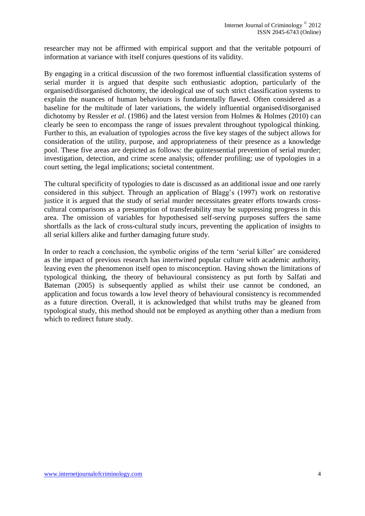researcher may not be affirmed with empirical support and that the veritable potpourri of information at variance with itself conjures questions of its validity.

By engaging in a critical discussion of the two foremost influential classification systems of serial murder it is argued that despite such enthusiastic adoption, particularly of the organised/disorganised dichotomy, the ideological use of such strict classification systems to explain the nuances of human behaviours is fundamentally flawed. Often considered as a baseline for the multitude of later variations, the widely influential organised/disorganised dichotomy by Ressler *et al*. (1986) and the latest version from Holmes & Holmes (2010) can clearly be seen to encompass the range of issues prevalent throughout typological thinking. Further to this, an evaluation of typologies across the five key stages of the subject allows for consideration of the utility, purpose, and appropriateness of their presence as a knowledge pool. These five areas are depicted as follows: the quintessential prevention of serial murder; investigation, detection, and crime scene analysis; offender profiling; use of typologies in a court setting, the legal implications; societal contentment.

The cultural specificity of typologies to date is discussed as an additional issue and one rarely considered in this subject. Through an application of Blagg's (1997) work on restorative justice it is argued that the study of serial murder necessitates greater efforts towards crosscultural comparisons as a presumption of transferability may be suppressing progress in this area. The omission of variables for hypothesised self-serving purposes suffers the same shortfalls as the lack of cross-cultural study incurs, preventing the application of insights to all serial killers alike and further damaging future study.

In order to reach a conclusion, the symbolic origins of the term 'serial killer' are considered as the impact of previous research has intertwined popular culture with academic authority, leaving even the phenomenon itself open to misconception. Having shown the limitations of typological thinking, the theory of behavioural consistency as put forth by Salfati and Bateman (2005) is subsequently applied as whilst their use cannot be condoned, an application and focus towards a low level theory of behavioural consistency is recommended as a future direction. Overall, it is acknowledged that whilst truths may be gleaned from typological study, this method should not be employed as anything other than a medium from which to redirect future study.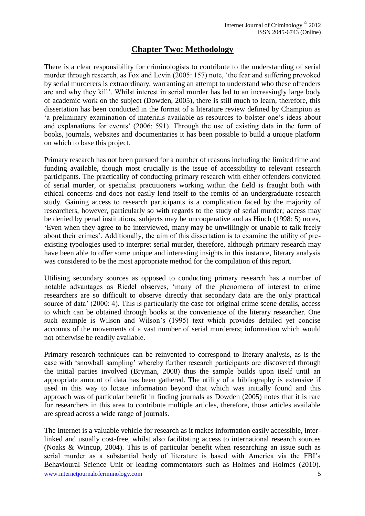# **Chapter Two: Methodology**

There is a clear responsibility for criminologists to contribute to the understanding of serial murder through research, as Fox and Levin (2005: 157) note, 'the fear and suffering provoked by serial murderers is extraordinary, warranting an attempt to understand who these offenders are and why they kill'. Whilst interest in serial murder has led to an increasingly large body of academic work on the subject (Dowden, 2005), there is still much to learn, therefore, this dissertation has been conducted in the format of a literature review defined by Champion as 'a preliminary examination of materials available as resources to bolster one's ideas about and explanations for events' (2006: 591). Through the use of existing data in the form of books, journals, websites and documentaries it has been possible to build a unique platform on which to base this project.

Primary research has not been pursued for a number of reasons including the limited time and funding available, though most crucially is the issue of accessibility to relevant research participants. The practicality of conducting primary research with either offenders convicted of serial murder, or specialist practitioners working within the field is fraught both with ethical concerns and does not easily lend itself to the remits of an undergraduate research study. Gaining access to research participants is a complication faced by the majority of researchers, however, particularly so with regards to the study of serial murder; access may be denied by penal institutions, subjects may be uncooperative and as Hinch (1998: 5) notes, 'Even when they agree to be interviewed, many may be unwillingly or unable to talk freely about their crimes'. Additionally, the aim of this dissertation is to examine the utility of preexisting typologies used to interpret serial murder, therefore, although primary research may have been able to offer some unique and interesting insights in this instance, literary analysis was considered to be the most appropriate method for the compilation of this report.

Utilising secondary sources as opposed to conducting primary research has a number of notable advantages as Riedel observes, 'many of the phenomena of interest to crime researchers are so difficult to observe directly that secondary data are the only practical source of data' (2000: 4). This is particularly the case for original crime scene details, access to which can be obtained through books at the convenience of the literary researcher. One such example is Wilson and Wilson's (1995) text which provides detailed yet concise accounts of the movements of a vast number of serial murderers; information which would not otherwise be readily available.

Primary research techniques can be reinvented to correspond to literary analysis, as is the case with 'snowball sampling' whereby further research participants are discovered through the initial parties involved (Bryman, 2008) thus the sample builds upon itself until an appropriate amount of data has been gathered. The utility of a bibliography is extensive if used in this way to locate information beyond that which was initially found and this approach was of particular benefit in finding journals as Dowden (2005) notes that it is rare for researchers in this area to contribute multiple articles, therefore, those articles available are spread across a wide range of journals.

www.internetjournalofcriminology.com 5 The Internet is a valuable vehicle for research as it makes information easily accessible, interlinked and usually cost-free, whilst also facilitating access to international research sources (Noaks & Wincup, 2004). This is of particular benefit when researching an issue such as serial murder as a substantial body of literature is based with America via the FBI's Behavioural Science Unit or leading commentators such as Holmes and Holmes (2010).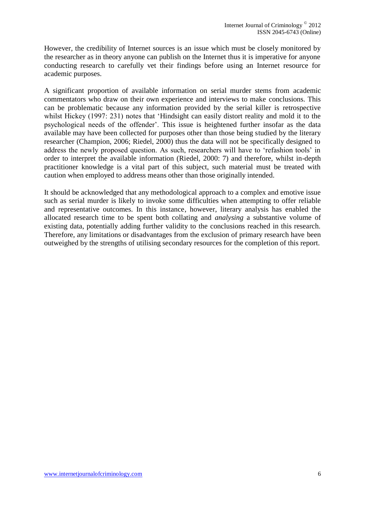However, the credibility of Internet sources is an issue which must be closely monitored by the researcher as in theory anyone can publish on the Internet thus it is imperative for anyone conducting research to carefully vet their findings before using an Internet resource for academic purposes.

A significant proportion of available information on serial murder stems from academic commentators who draw on their own experience and interviews to make conclusions. This can be problematic because any information provided by the serial killer is retrospective whilst Hickey (1997: 231) notes that 'Hindsight can easily distort reality and mold it to the psychological needs of the offender'. This issue is heightened further insofar as the data available may have been collected for purposes other than those being studied by the literary researcher (Champion, 2006; Riedel, 2000) thus the data will not be specifically designed to address the newly proposed question. As such, researchers will have to 'refashion tools' in order to interpret the available information (Riedel, 2000: 7) and therefore, whilst in-depth practitioner knowledge is a vital part of this subject, such material must be treated with caution when employed to address means other than those originally intended.

It should be acknowledged that any methodological approach to a complex and emotive issue such as serial murder is likely to invoke some difficulties when attempting to offer reliable and representative outcomes. In this instance, however, literary analysis has enabled the allocated research time to be spent both collating and *analysing* a substantive volume of existing data, potentially adding further validity to the conclusions reached in this research. Therefore, any limitations or disadvantages from the exclusion of primary research have been outweighed by the strengths of utilising secondary resources for the completion of this report.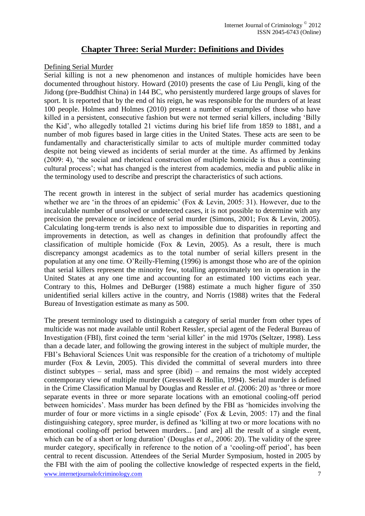## **Chapter Three: Serial Murder: Definitions and Divides**

#### Defining Serial Murder

Serial killing is not a new phenomenon and instances of multiple homicides have been documented throughout history. Howard (2010) presents the case of Liu Pengli, king of the Jidong (pre-Buddhist China) in 144 BC, who persistently murdered large groups of slaves for sport. It is reported that by the end of his reign, he was responsible for the murders of at least 100 people. Holmes and Holmes (2010) present a number of examples of those who have killed in a persistent, consecutive fashion but were not termed serial killers, including 'Billy the Kid', who allegedly totalled 21 victims during his brief life from 1859 to 1881, and a number of mob figures based in large cities in the United States. These acts are seen to be fundamentally and characteristically similar to acts of multiple murder committed today despite not being viewed as incidents of serial murder at the time. As affirmed by Jenkins (2009: 4), 'the social and rhetorical construction of multiple homicide is thus a continuing cultural process'; what has changed is the interest from academics, media and public alike in the terminology used to describe and prescript the characteristics of such actions.

The recent growth in interest in the subject of serial murder has academics questioning whether we are 'in the throes of an epidemic' (Fox & Levin, 2005: 31). However, due to the incalculable number of unsolved or undetected cases, it is not possible to determine with any precision the prevalence or incidence of serial murder (Simons, 2001; Fox & Levin, 2005). Calculating long-term trends is also next to impossible due to disparities in reporting and improvements in detection, as well as changes in definition that profoundly affect the classification of multiple homicide (Fox & Levin, 2005). As a result, there is much discrepancy amongst academics as to the total number of serial killers present in the population at any one time. O'Reilly-Fleming (1996) is amongst those who are of the opinion that serial killers represent the minority few, totalling approximately ten in operation in the United States at any one time and accounting for an estimated 100 victims each year. Contrary to this, Holmes and DeBurger (1988) estimate a much higher figure of 350 unidentified serial killers active in the country, and Norris (1988) writes that the Federal Bureau of Investigation estimate as many as 500.

www.internetjournalofcriminology.com 7 The present terminology used to distinguish a category of serial murder from other types of multicide was not made available until Robert Ressler, special agent of the Federal Bureau of Investigation (FBI), first coined the term 'serial killer' in the mid 1970s (Seltzer, 1998). Less than a decade later, and following the growing interest in the subject of multiple murder, the FBI's Behavioral Sciences Unit was responsible for the creation of a trichotomy of multiple murder (Fox & Levin, 2005). This divided the committal of several murders into three distinct subtypes – serial, mass and spree (ibid) – and remains the most widely accepted contemporary view of multiple murder (Gresswell & Hollin, 1994). Serial murder is defined in the Crime Classification Manual by Douglas and Ressler *et al*. (2006: 20) as 'three or more separate events in three or more separate locations with an emotional cooling-off period between homicides'. Mass murder has been defined by the FBI as 'homicides involving the murder of four or more victims in a single episode' (Fox & Levin, 2005: 17) and the final distinguishing category, spree murder, is defined as 'killing at two or more locations with no emotional cooling-off period between murders... [and are] all the result of a single event, which can be of a short or long duration' (Douglas *et al*., 2006: 20). The validity of the spree murder category, specifically in reference to the notion of a 'cooling-off period', has been central to recent discussion. Attendees of the Serial Murder Symposium, hosted in 2005 by the FBI with the aim of pooling the collective knowledge of respected experts in the field,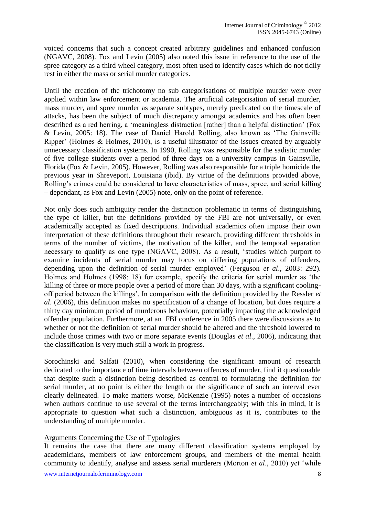voiced concerns that such a concept created arbitrary guidelines and enhanced confusion (NGAVC, 2008). Fox and Levin (2005) also noted this issue in reference to the use of the spree category as a third wheel category, most often used to identify cases which do not tidily rest in either the mass or serial murder categories.

Until the creation of the trichotomy no sub categorisations of multiple murder were ever applied within law enforcement or academia. The artificial categorisation of serial murder, mass murder, and spree murder as separate subtypes, merely predicated on the timescale of attacks, has been the subject of much discrepancy amongst academics and has often been described as a red herring, a 'meaningless distraction [rather] than a helpful distinction' (Fox & Levin, 2005: 18). The case of Daniel Harold Rolling, also known as 'The Gainsville Ripper' (Holmes & Holmes, 2010), is a useful illustrator of the issues created by arguably unnecessary classification systems. In 1990, Rolling was responsible for the sadistic murder of five college students over a period of three days on a university campus in Gainsville, Florida (Fox & Levin, 2005). However, Rolling was also responsible for a triple homicide the previous year in Shreveport, Louisiana (ibid). By virtue of the definitions provided above, Rolling's crimes could be considered to have characteristics of mass, spree, and serial killing – dependant, as Fox and Levin (2005) note, only on the point of reference.

Not only does such ambiguity render the distinction problematic in terms of distinguishing the type of killer, but the definitions provided by the FBI are not universally, or even academically accepted as fixed descriptions. Individual academics often impose their own interpretation of these definitions throughout their research, providing different thresholds in terms of the number of victims, the motivation of the killer, and the temporal separation necessary to qualify as one type (NGAVC, 2008). As a result, 'studies which purport to examine incidents of serial murder may focus on differing populations of offenders, depending upon the definition of serial murder employed' (Ferguson *et al*., 2003: 292). Holmes and Holmes (1998: 18) for example, specify the criteria for serial murder as 'the killing of three or more people over a period of more than 30 days, with a significant coolingoff period between the killings'. In comparison with the definition provided by the Ressler *et al*. (2006), this definition makes no specification of a change of location, but does require a thirty day minimum period of murderous behaviour, potentially impacting the acknowledged offender population. Furthermore, at an FBI conference in 2005 there were discussions as to whether or not the definition of serial murder should be altered and the threshold lowered to include those crimes with two or more separate events (Douglas *et al*., 2006), indicating that the classification is very much still a work in progress.

Sorochinski and Salfati (2010), when considering the significant amount of research dedicated to the importance of time intervals between offences of murder, find it questionable that despite such a distinction being described as central to formulating the definition for serial murder, at no point is either the length or the significance of such an interval ever clearly delineated. To make matters worse, McKenzie (1995) notes a number of occasions when authors continue to use several of the terms interchangeably; with this in mind, it is appropriate to question what such a distinction, ambiguous as it is, contributes to the understanding of multiple murder.

#### Arguments Concerning the Use of Typologies

It remains the case that there are many different classification systems employed by academicians, members of law enforcement groups, and members of the mental health community to identify, analyse and assess serial murderers (Morton *et al*., 2010) yet 'while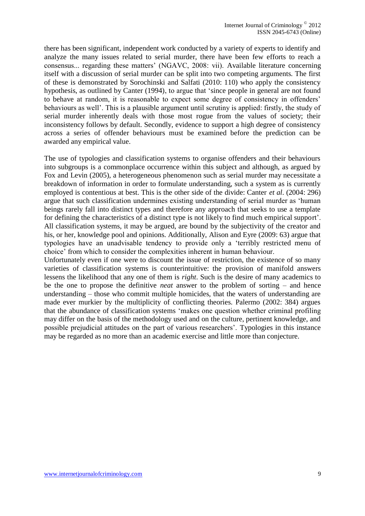there has been significant, independent work conducted by a variety of experts to identify and analyze the many issues related to serial murder, there have been few efforts to reach a consensus... regarding these matters' (NGAVC, 2008: vii). Available literature concerning itself with a discussion of serial murder can be split into two competing arguments. The first of these is demonstrated by Sorochinski and Salfati (2010: 110) who apply the consistency hypothesis, as outlined by Canter (1994), to argue that 'since people in general are not found to behave at random, it is reasonable to expect some degree of consistency in offenders' behaviours as well'. This is a plausible argument until scrutiny is applied: firstly, the study of serial murder inherently deals with those most rogue from the values of society; their inconsistency follows by default. Secondly, evidence to support a high degree of consistency across a series of offender behaviours must be examined before the prediction can be awarded any empirical value.

The use of typologies and classification systems to organise offenders and their behaviours into subgroups is a commonplace occurrence within this subject and although, as argued by Fox and Levin (2005), a heterogeneous phenomenon such as serial murder may necessitate a breakdown of information in order to formulate understanding, such a system as is currently employed is contentious at best. This is the other side of the divide: Canter *et al*. (2004: 296) argue that such classification undermines existing understanding of serial murder as 'human beings rarely fall into distinct types and therefore any approach that seeks to use a template for defining the characteristics of a distinct type is not likely to find much empirical support'. All classification systems, it may be argued, are bound by the subjectivity of the creator and his, or her, knowledge pool and opinions. Additionally, Alison and Eyre (2009: 63) argue that typologies have an unadvisable tendency to provide only a 'terribly restricted menu of choice' from which to consider the complexities inherent in human behaviour.

Unfortunately even if one were to discount the issue of restriction, the existence of so many varieties of classification systems is counterintuitive: the provision of manifold answers lessens the likelihood that any one of them is *right*. Such is the desire of many academics to be the one to propose the definitive *neat* answer to the problem of sorting – and hence understanding – those who commit multiple homicides, that the waters of understanding are made ever murkier by the multiplicity of conflicting theories. Palermo (2002: 384) argues that the abundance of classification systems 'makes one question whether criminal profiling may differ on the basis of the methodology used and on the culture, pertinent knowledge, and possible prejudicial attitudes on the part of various researchers'. Typologies in this instance may be regarded as no more than an academic exercise and little more than conjecture.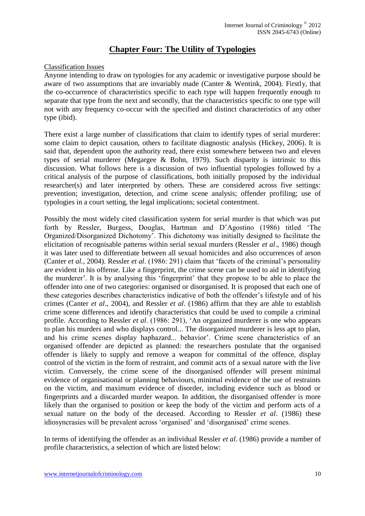## **Chapter Four: The Utility of Typologies**

#### Classification Issues

Anyone intending to draw on typologies for any academic or investigative purpose should be aware of two assumptions that are invariably made (Canter & Wentink, 2004). Firstly, that the co-occurrence of characteristics specific to each type will happen frequently enough to separate that type from the next and secondly, that the characteristics specific to one type will not with any frequency co-occur with the specified and distinct characteristics of any other type (ibid).

There exist a large number of classifications that claim to identify types of serial murderer: some claim to depict causation, others to facilitate diagnostic analysis (Hickey, 2006). It is said that, dependent upon the authority read, there exist somewhere between two and eleven types of serial murderer (Megargee & Bohn, 1979). Such disparity is intrinsic to this discussion. What follows here is a discussion of two influential typologies followed by a critical analysis of the purpose of classifications, both initially proposed by the individual researcher(s) and later interpreted by others. These are considered across five settings: prevention; investigation, detection, and crime scene analysis; offender profiling; use of typologies in a court setting, the legal implications; societal contentment.

Possibly the most widely cited classification system for serial murder is that which was put forth by Ressler, Burgess, Douglas, Hartman and D'Agostino (1986) titled 'The Organized/Disorganized Dichotomy'. This dichotomy was initially designed to facilitate the elicitation of recognisable patterns within serial sexual murders (Ressler *et al*., 1986) though it was later used to differentiate between all sexual homicides and also occurrences of arson (Canter *et al.*, 2004). Ressler *et al*. (1986: 291) claim that 'facets of the criminal's personality are evident in his offense. Like a fingerprint, the crime scene can be used to aid in identifying the murderer'. It is by analysing this 'fingerprint' that they propose to be able to place the offender into one of two categories: organised or disorganised. It is proposed that each one of these categories describes characteristics indicative of both the offender's lifestyle and of his crimes (Canter *et al*., 2004), and Ressler *et al*. (1986) affirm that they are able to establish crime scene differences and identify characteristics that could be used to compile a criminal profile. According to Ressler *et al*. (1986: 291), 'An organized murderer is one who appears to plan his murders and who displays control... The disorganized murderer is less apt to plan, and his crime scenes display haphazard... behavior'. Crime scene characteristics of an organised offender are depicted as planned: the researchers postulate that the organised offender is likely to supply and remove a weapon for committal of the offence, display control of the victim in the form of restraint, and commit acts of a sexual nature with the live victim. Conversely, the crime scene of the disorganised offender will present minimal evidence of organisational or planning behaviours, minimal evidence of the use of restraints on the victim, and maximum evidence of disorder, including evidence such as blood or fingerprints and a discarded murder weapon. In addition, the disorganised offender is more likely than the organised to position or keep the body of the victim and perform acts of a sexual nature on the body of the deceased. According to Ressler *et al*. (1986) these idiosyncrasies will be prevalent across 'organised' and 'disorganised' crime scenes.

In terms of identifying the offender as an individual Ressler *et al*. (1986) provide a number of profile characteristics, a selection of which are listed below: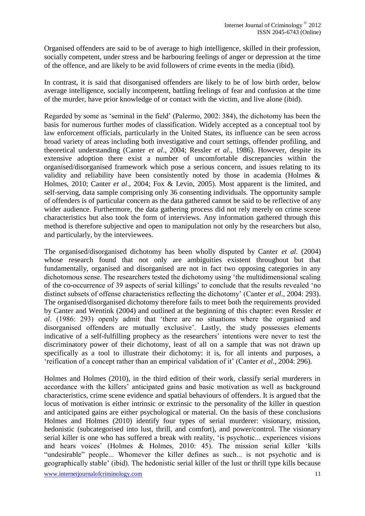Organised offenders are said to be of average to high intelligence, skilled in their profession, socially competent, under stress and be harbouring feelings of anger or depression at the time of the offence, and are likely to be avid followers of crime events in the media (ibid).

In contrast, it is said that disorganised offenders are likely to be of low birth order, below average intelligence, socially incompetent, battling feelings of fear and confusion at the time of the murder, have prior knowledge of or contact with the victim, and live alone (ibid).

Regarded by some as 'seminal in the field' (Palermo, 2002: 384), the dichotomy has been the basis for numerous further modes of classification. Widely accepted as a conceptual tool by law enforcement officials, particularly in the United States, its influence can be seen across broad variety of areas including both investigative and court settings, offender profiling, and theoretical understanding (Canter *et al*., 2004; Ressler *et al*., 1986). However, despite its extensive adoption there exist a number of uncomfortable discrepancies within the organised/disorganised framework which pose a serious concern, and issues relating to its validity and reliability have been consistently noted by those in academia (Holmes & Holmes, 2010; Canter *et al*., 2004; Fox & Levin, 2005). Most apparent is the limited, and self-serving, data sample comprising only 36 consenting individuals. The opportunity sample of offenders is of particular concern as the data gathered cannot be said to be reflective of any wider audience. Furthermore, the data gathering process did not rely merely on crime scene characteristics but also took the form of interviews. Any information gathered through this method is therefore subjective and open to manipulation not only by the researchers but also, and particularly, by the interviewees.

The organised/disorganised dichotomy has been wholly disputed by Canter *et al*. (2004) whose research found that not only are ambiguities existent throughout but that fundamentally, organised and disorganised are not in fact two opposing categories in any dichotomous sense. The researchers tested the dichotomy using 'the multidimensional scaling of the co-occurrence of 39 aspects of serial killings' to conclude that the results revealed 'no distinct subsets of offense characteristics reflecting the dichotomy' (Canter *et al*., 2004: 293). The organised/disorganised dichotomy therefore fails to meet both the requirements provided by Canter and Wentink (2004) and outlined at the beginning of this chapter: even Ressler *et al*. (1986: 293) openly admit that 'there are no situations where the organised and disorganised offenders are mutually exclusive'. Lastly, the study possesses elements indicative of a self-fulfilling prophecy as the researchers' intentions were never to test the discriminatory power of their dichotomy, least of all on a sample that was not drawn up specifically as a tool to illustrate their dichotomy: it is, for all intents and purposes, a 'reification of a concept rather than an empirical validation of it' (Canter *et al*., 2004: 296).

Holmes and Holmes (2010), in the third edition of their work, classify serial murderers in accordance with the killers' anticipated gains and basic motivation as well as background characteristics, crime scene evidence and spatial behaviours of offenders. It is argued that the locus of motivation is either intrinsic or extrinsic to the personality of the killer in question and anticipated gains are either psychological or material. On the basis of these conclusions Holmes and Holmes (2010) identify four types of serial murderer: visionary, mission, hedonistic (subcategorised into lust, thrill, and comfort), and power/control. The visionary serial killer is one who has suffered a break with reality, 'is psychotic... experiences visions and hears voices' (Holmes & Holmes, 2010: 45). The mission serial killer 'kills "undesirable" people... Whomever the killer defines as such... is not psychotic and is geographically stable' (ibid). The hedonistic serial killer of the lust or thrill type kills because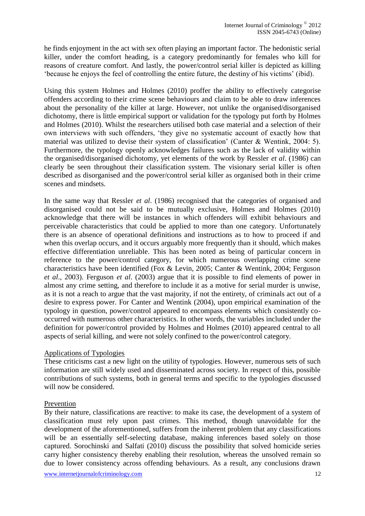he finds enjoyment in the act with sex often playing an important factor. The hedonistic serial killer, under the comfort heading, is a category predominantly for females who kill for reasons of creature comfort. And lastly, the power/control serial killer is depicted as killing 'because he enjoys the feel of controlling the entire future, the destiny of his victims' (ibid).

Using this system Holmes and Holmes (2010) proffer the ability to effectively categorise offenders according to their crime scene behaviours and claim to be able to draw inferences about the personality of the killer at large. However, not unlike the organised/disorganised dichotomy, there is little empirical support or validation for the typology put forth by Holmes and Holmes (2010). Whilst the researchers utilised both case material and a selection of their own interviews with such offenders, 'they give no systematic account of exactly how that material was utilized to devise their system of classification' (Canter & Wentink, 2004: 5). Furthermore, the typology openly acknowledges failures such as the lack of validity within the organised/disorganised dichotomy, yet elements of the work by Ressler *et al*. (1986) can clearly be seen throughout their classification system. The visionary serial killer is often described as disorganised and the power/control serial killer as organised both in their crime scenes and mindsets.

In the same way that Ressler *et al*. (1986) recognised that the categories of organised and disorganised could not be said to be mutually exclusive, Holmes and Holmes (2010) acknowledge that there will be instances in which offenders will exhibit behaviours and perceivable characteristics that could be applied to more than one category. Unfortunately there is an absence of operational definitions and instructions as to how to proceed if and when this overlap occurs, and it occurs arguably more frequently than it should, which makes effective differentiation unreliable. This has been noted as being of particular concern in reference to the power/control category, for which numerous overlapping crime scene characteristics have been identified (Fox & Levin, 2005; Canter & Wentink, 2004; Ferguson *et al*., 2003). Ferguson *et al*. (2003) argue that it is possible to find elements of power in almost any crime setting, and therefore to include it as a motive for serial murder is unwise, as it is not a reach to argue that the vast majority, if not the entirety, of criminals act out of a desire to express power. For Canter and Wentink (2004), upon empirical examination of the typology in question, power/control appeared to encompass elements which consistently cooccurred with numerous other characteristics. In other words, the variables included under the definition for power/control provided by Holmes and Holmes (2010) appeared central to all aspects of serial killing, and were not solely confined to the power/control category.

#### Applications of Typologies

These criticisms cast a new light on the utility of typologies. However, numerous sets of such information are still widely used and disseminated across society. In respect of this, possible contributions of such systems, both in general terms and specific to the typologies discussed will now be considered.

#### Prevention

By their nature, classifications are reactive: to make its case, the development of a system of classification must rely upon past crimes. This method, though unavoidable for the development of the aforementioned, suffers from the inherent problem that any classifications will be an essentially self-selecting database, making inferences based solely on those captured. Sorochinski and Salfati (2010) discuss the possibility that solved homicide series carry higher consistency thereby enabling their resolution, whereas the unsolved remain so due to lower consistency across offending behaviours. As a result, any conclusions drawn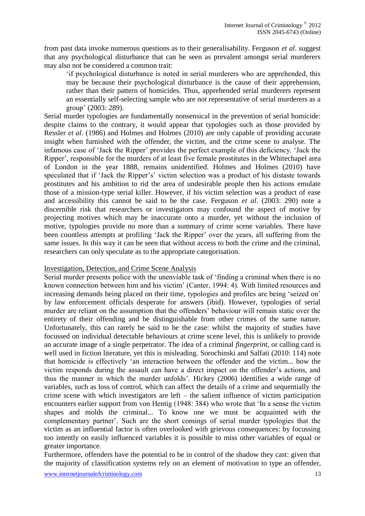from past data invoke numerous questions as to their generalisability. Ferguson *et al*. suggest that any psychological disturbance that can be seen as prevalent amongst serial murderers may also not be considered a common trait:

'if psychological disturbance is noted in serial murderers who are apprehended, this may be because their psychological disturbance is the cause of their apprehension, rather than their pattern of homicides. Thus, apprehended serial murderers represent an essentially self-selecting sample who are not representative of serial murderers as a group' (2003: 289).

Serial murder typologies are fundamentally nonsensical in the prevention of serial homicide: despite claims to the contrary, it would appear that typologies such as those provided by Ressler *et al*. (1986) and Holmes and Holmes (2010) are only capable of providing accurate insight when furnished with the offender, the victim, and the crime scene to analyse. The infamous case of 'Jack the Ripper' provides the perfect example of this deficiency. 'Jack the Ripper', responsible for the murders of at least five female prostitutes in the Whitechapel area of London in the year 1888, remains unidentified. Holmes and Holmes (2010) have speculated that if 'Jack the Ripper's' victim selection was a product of his distaste towards prostitutes and his ambition to rid the area of undesirable people then his actions emulate those of a mission-type serial killer. However, if his victim selection was a product of ease and accessibility this cannot be said to be the case. Ferguson *et al*. (2003: 290) note a discernible risk that researchers or investigators may confound the aspect of motive by projecting motives which may be inaccurate onto a murder, yet without the inclusion of motive, typologies provide no more than a summary of crime scene variables. There have been countless attempts at profiling 'Jack the Ripper' over the years, all suffering from the same issues. In this way it can be seen that without access to both the crime and the criminal, researchers can only speculate as to the appropriate categorisation.

#### Investigation, Detection, and Crime Scene Analysis

Serial murder presents police with the unenviable task of 'finding a criminal when there is no known connection between him and his victim' (Canter, 1994: 4). With limited resources and increasing demands being placed on their time, typologies and profiles are being 'seized on' by law enforcement officials desperate for answers (ibid). However, typologies of serial murder are reliant on the assumption that the offenders' behaviour will remain static over the entirety of their offending and be distinguishable from other crimes of the same nature. Unfortunately, this can rarely be said to be the case: whilst the majority of studies have focussed on individual detectable behaviours at crime scene level, this is unlikely to provide an accurate image of a single perpetrator. The idea of a criminal *fingerprint*, or calling card is well used in fiction literature, yet this is misleading. Sorochinski and Salfati (2010: 114) note that homicide is effectively 'an interaction between the offender and the victim... how the victim responds during the assault can have a direct impact on the offender's actions, and thus the manner in which the murder unfolds'. Hickey (2006) identifies a wide range of variables, such as loss of control, which can affect the details of a crime and sequentially the crime scene with which investigators are left – the salient influence of victim participation encounters earlier support from von Hentig (1948: 384) who wrote that 'In a sense the victim shapes and molds the criminal... To know one we must be acquainted with the complementary partner'. Such are the short comings of serial murder typologies that the victim as an influential factor is often overlooked with grievous consequences: by focussing too intently on easily influenced variables it is possible to miss other variables of equal or greater importance.

Furthermore, offenders have the potential to be in control of the shadow they cast: given that the majority of classification systems rely on an element of motivation to type an offender,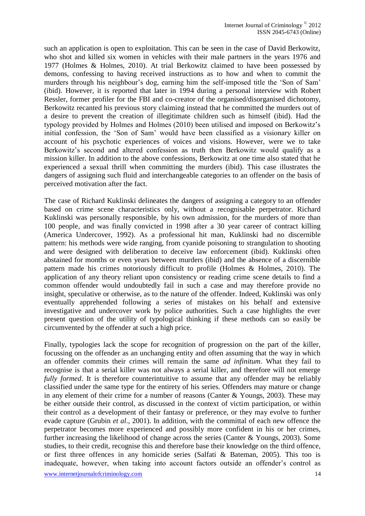such an application is open to exploitation. This can be seen in the case of David Berkowitz, who shot and killed six women in vehicles with their male partners in the years 1976 and 1977 (Holmes & Holmes, 2010). At trial Berkowitz claimed to have been possessed by demons, confessing to having received instructions as to how and when to commit the murders through his neighbour's dog, earning him the self-imposed title the 'Son of Sam' (ibid). However, it is reported that later in 1994 during a personal interview with Robert Ressler, former profiler for the FBI and co-creator of the organised/disorganised dichotomy, Berkowitz recanted his previous story claiming instead that he committed the murders out of a desire to prevent the creation of illegitimate children such as himself (ibid). Had the typology provided by Holmes and Holmes (2010) been utilised and imposed on Berkowitz's initial confession, the 'Son of Sam' would have been classified as a visionary killer on account of his psychotic experiences of voices and visions. However, were we to take Berkowitz's second and altered confession as truth then Berkowitz would qualify as a mission killer. In addition to the above confessions, Berkowitz at one time also stated that he experienced a sexual thrill when committing the murders (ibid). This case illustrates the dangers of assigning such fluid and interchangeable categories to an offender on the basis of perceived motivation after the fact.

The case of Richard Kuklinski delineates the dangers of assigning a category to an offender based on crime scene characteristics only, without a recognisable perpetrator. Richard Kuklinski was personally responsible, by his own admission, for the murders of more than 100 people, and was finally convicted in 1998 after a 30 year career of contract killing (America Undercover, 1992). As a professional hit man, Kuklinski had no discernible pattern: his methods were wide ranging, from cyanide poisoning to strangulation to shooting and were designed with deliberation to deceive law enforcement (ibid). Kuklinski often abstained for months or even years between murders (ibid) and the absence of a discernible pattern made his crimes notoriously difficult to profile (Holmes & Holmes, 2010). The application of any theory reliant upon consistency or reading crime scene details to find a common offender would undoubtedly fail in such a case and may therefore provide no insight, speculative or otherwise, as to the nature of the offender. Indeed, Kuklinski was only eventually apprehended following a series of mistakes on his behalf and extensive investigative and undercover work by police authorities. Such a case highlights the ever present question of the utility of typological thinking if these methods can so easily be circumvented by the offender at such a high price.

Finally, typologies lack the scope for recognition of progression on the part of the killer, focussing on the offender as an unchanging entity and often assuming that the way in which an offender commits their crimes will remain the same *ad infinitum*. What they fail to recognise is that a serial killer was not always a serial killer, and therefore will not emerge *fully formed*. It is therefore counterintuitive to assume that any offender may be reliably classified under the same type for the entirety of his series. Offenders may mature or change in any element of their crime for a number of reasons (Canter & Youngs, 2003). These may be either outside their control, as discussed in the context of victim participation, or within their control as a development of their fantasy or preference, or they may evolve to further evade capture (Grubin *et al*., 2001). In addition, with the committal of each new offence the perpetrator becomes more experienced and possibly more confident in his or her crimes, further increasing the likelihood of change across the series (Canter & Youngs, 2003). Some studies, to their credit, recognise this and therefore base their knowledge on the third offence, or first three offences in any homicide series (Salfati & Bateman, 2005). This too is inadequate, however, when taking into account factors outside an offender's control as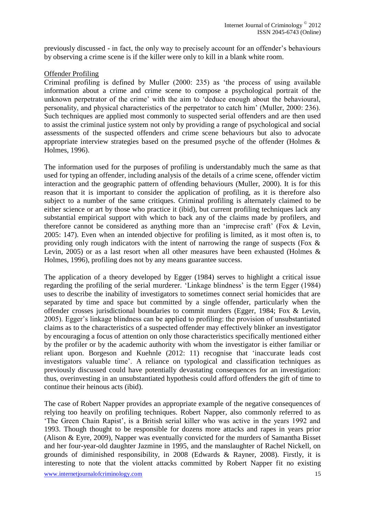previously discussed - in fact, the only way to precisely account for an offender's behaviours by observing a crime scene is if the killer were only to kill in a blank white room.

#### Offender Profiling

Criminal profiling is defined by Muller (2000: 235) as 'the process of using available information about a crime and crime scene to compose a psychological portrait of the unknown perpetrator of the crime' with the aim to 'deduce enough about the behavioural, personality, and physical characteristics of the perpetrator to catch him' (Muller, 2000: 236). Such techniques are applied most commonly to suspected serial offenders and are then used to assist the criminal justice system not only by providing a range of psychological and social assessments of the suspected offenders and crime scene behaviours but also to advocate appropriate interview strategies based on the presumed psyche of the offender (Holmes & Holmes, 1996).

The information used for the purposes of profiling is understandably much the same as that used for typing an offender, including analysis of the details of a crime scene, offender victim interaction and the geographic pattern of offending behaviours (Muller, 2000). It is for this reason that it is important to consider the application of profiling, as it is therefore also subject to a number of the same critiques. Criminal profiling is alternately claimed to be either science or art by those who practice it (ibid), but current profiling techniques lack any substantial empirical support with which to back any of the claims made by profilers, and therefore cannot be considered as anything more than an 'imprecise craft' (Fox & Levin, 2005: 147). Even when an intended objective for profiling is limited, as it most often is, to providing only rough indicators with the intent of narrowing the range of suspects (Fox & Levin, 2005) or as a last resort when all other measures have been exhausted (Holmes & Holmes, 1996), profiling does not by any means guarantee success.

The application of a theory developed by Egger (1984) serves to highlight a critical issue regarding the profiling of the serial murderer. 'Linkage blindness' is the term Egger (1984) uses to describe the inability of investigators to sometimes connect serial homicides that are separated by time and space but committed by a single offender, particularly when the offender crosses jurisdictional boundaries to commit murders (Egger, 1984; Fox & Levin, 2005). Egger's linkage blindness can be applied to profiling: the provision of unsubstantiated claims as to the characteristics of a suspected offender may effectively blinker an investigator by encouraging a focus of attention on only those characteristics specifically mentioned either by the profiler or by the academic authority with whom the investigator is either familiar or reliant upon. Borgeson and Kuehnle (2012: 11) recognise that 'inaccurate leads cost investigators valuable time'. A reliance on typological and classification techniques as previously discussed could have potentially devastating consequences for an investigation: thus, overinvesting in an unsubstantiated hypothesis could afford offenders the gift of time to continue their heinous acts (ibid).

The case of Robert Napper provides an appropriate example of the negative consequences of relying too heavily on profiling techniques. Robert Napper, also commonly referred to as 'The Green Chain Rapist', is a British serial killer who was active in the years 1992 and 1993. Though thought to be responsible for dozens more attacks and rapes in years prior (Alison & Eyre, 2009), Napper was eventually convicted for the murders of Samantha Bisset and her four-year-old daughter Jazmine in 1995, and the manslaughter of Rachel Nickell, on grounds of diminished responsibility, in 2008 (Edwards & Rayner, 2008). Firstly, it is interesting to note that the violent attacks committed by Robert Napper fit no existing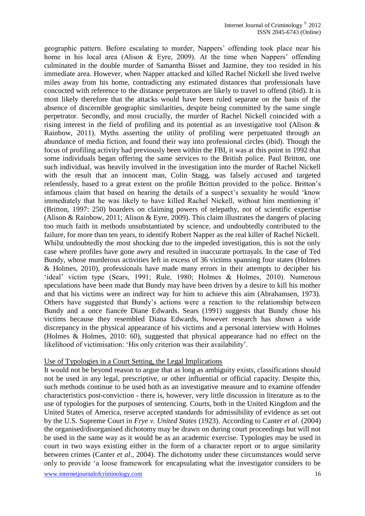geographic pattern. Before escalating to murder, Nappers' offending took place near his home in his local area (Alison & Eyre, 2009). At the time when Nappers' offending culminated in the double murder of Samantha Bisset and Jazmine, they too resided in his immediate area. However, when Napper attacked and killed Rachel Nickell she lived twelve miles away from his home, contradicting any estimated distances that professionals have concocted with reference to the distance perpetrators are likely to travel to offend (ibid). It is most likely therefore that the attacks would have been ruled separate on the basis of the absence of discernible geographic similarities, despite being committed by the same single perpetrator. Secondly, and most crucially, the murder of Rachel Nickell coincided with a rising interest in the field of profiling and its potential as an investigative tool (Alison & Rainbow, 2011). Myths asserting the utility of profiling were perpetuated through an abundance of media fiction, and found their way into professional circles (ibid). Though the focus of profiling activity had previously been within the FBI, it was at this point in 1992 that some individuals began offering the same services to the British police. Paul Britton, one such individual, was heavily involved in the investigation into the murder of Rachel Nickell with the result that an innocent man, Colin Stagg, was falsely accused and targeted relentlessly, based to a great extent on the profile Britton provided to the police. Britton's infamous claim that based on hearing the details of a suspect's sexuality he would 'know immediately that he was likely to have killed Rachel Nickell, without him mentioning it' (Britton, 1997: 250) boarders on claiming powers of telepathy, not of scientific expertise (Alison & Rainbow, 2011; Alison & Eyre, 2009). This claim illustrates the dangers of placing too much faith in methods unsubstantiated by science, and undoubtedly contributed to the failure, for more than ten years, to identify Robert Napper as the real killer of Rachel Nickell. Whilst undoubtedly the most shocking due to the impeded investigation, this is not the only case where profiles have gone awry and resulted in inaccurate portrayals. In the case of Ted Bundy, whose murderous activities left in excess of 36 victims spanning four states (Holmes & Holmes, 2010), professionals have made many errors in their attempts to decipher his 'ideal' victim type (Sears, 1991; Rule, 1980; Holmes & Holmes, 2010). Numerous speculations have been made that Bundy may have been driven by a desire to kill his mother and that his victims were an indirect way for him to achieve this aim (Abrahamsen, 1973). Others have suggested that Bundy's actions were a reaction to the relationship between Bundy and a once fiancée Diane Edwards. Sears (1991) suggests that Bundy chose his victims because they resembled Diana Edwards, however research has shown a wide discrepancy in the physical appearance of his victims and a personal interview with Holmes (Holmes & Holmes, 2010: 60), suggested that physical appearance had no effect on the likelihood of victimisation: 'His only criterion was their availability'.

#### Use of Typologies in a Court Setting, the Legal Implications

It would not be beyond reason to argue that as long as ambiguity exists, classifications should not be used in any legal, prescriptive, or other influential or official capacity. Despite this, such methods continue to be used both as an investigative measure and to examine offender characteristics post-conviction - there is, however, very little discussion in literature as to the use of typologies for the purposes of sentencing. Courts, both in the United Kingdom and the United States of America, reserve accepted standards for admissibility of evidence as set out by the U.S. Supreme Court in *Frye v. United States* (1923). According to Canter *et al*. (2004) the organised/disorganised dichotomy may be drawn on during court proceedings but will not be used in the same way as it would be as an academic exercise. Typologies may be used in court in two ways existing either in the form of a character report or to argue similarity between crimes (Canter *et al*., 2004). The dichotomy under these circumstances would serve only to provide 'a loose framework for encapsulating what the investigator considers to be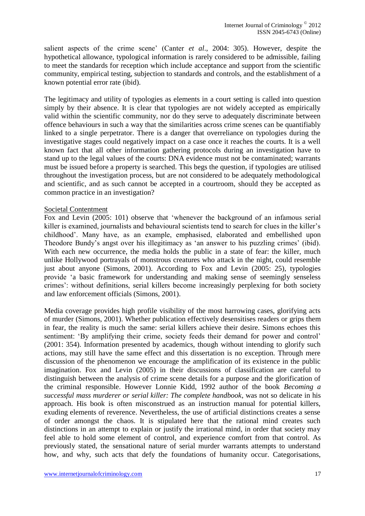salient aspects of the crime scene' (Canter *et al*., 2004: 305). However, despite the hypothetical allowance, typological information is rarely considered to be admissible, failing to meet the standards for reception which include acceptance and support from the scientific community, empirical testing, subjection to standards and controls, and the establishment of a known potential error rate (ibid).

The legitimacy and utility of typologies as elements in a court setting is called into question simply by their absence. It is clear that typologies are not widely accepted as empirically valid within the scientific community, nor do they serve to adequately discriminate between offence behaviours in such a way that the similarities across crime scenes can be quantifiably linked to a single perpetrator. There is a danger that overreliance on typologies during the investigative stages could negatively impact on a case once it reaches the courts. It is a well known fact that all other information gathering protocols during an investigation have to stand up to the legal values of the courts: DNA evidence must not be contaminated; warrants must be issued before a property is searched. This begs the question, if typologies are utilised throughout the investigation process, but are not considered to be adequately methodological and scientific, and as such cannot be accepted in a courtroom, should they be accepted as common practice in an investigation?

#### Societal Contentment

Fox and Levin (2005: 101) observe that 'whenever the background of an infamous serial killer is examined, journalists and behavioural scientists tend to search for clues in the killer's childhood'. Many have, as an example, emphasised, elaborated and embellished upon Theodore Bundy's angst over his illegitimacy as 'an answer to his puzzling crimes' (ibid). With each new occurrence, the media holds the public in a state of fear: the killer, much unlike Hollywood portrayals of monstrous creatures who attack in the night, could resemble just about anyone (Simons, 2001). According to Fox and Levin (2005: 25), typologies provide 'a basic framework for understanding and making sense of seemingly senseless crimes': without definitions, serial killers become increasingly perplexing for both society and law enforcement officials (Simons, 2001).

Media coverage provides high profile visibility of the most harrowing cases, glorifying acts of murder (Simons, 2001). Whether publication effectively desensitises readers or grips them in fear, the reality is much the same: serial killers achieve their desire. Simons echoes this sentiment: 'By amplifying their crime, society feeds their demand for power and control' (2001: 354). Information presented by academics, though without intending to glorify such actions, may still have the same effect and this dissertation is no exception. Through mere discussion of the phenomenon we encourage the amplification of its existence in the public imagination. Fox and Levin (2005) in their discussions of classification are careful to distinguish between the analysis of crime scene details for a purpose and the glorification of the criminal responsible. However Lonnie Kidd, 1992 author of the book *Becoming a successful mass murderer or serial killer: The complete handbook*, was not so delicate in his approach. His book is often misconstrued as an instruction manual for potential killers, exuding elements of reverence. Nevertheless, the use of artificial distinctions creates a sense of order amongst the chaos. It is stipulated here that the rational mind creates such distinctions in an attempt to explain or justify the irrational mind, in order that society may feel able to hold some element of control, and experience comfort from that control. As previously stated, the sensational nature of serial murder warrants attempts to understand how, and why, such acts that defy the foundations of humanity occur. Categorisations,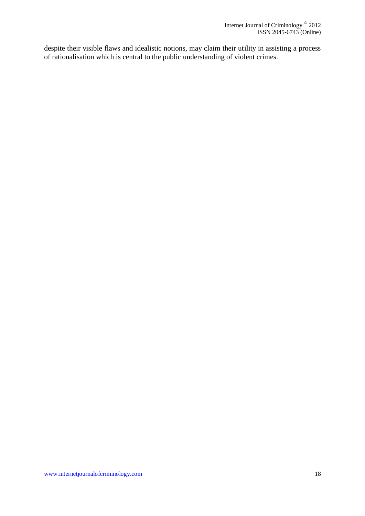despite their visible flaws and idealistic notions, may claim their utility in assisting a process of rationalisation which is central to the public understanding of violent crimes.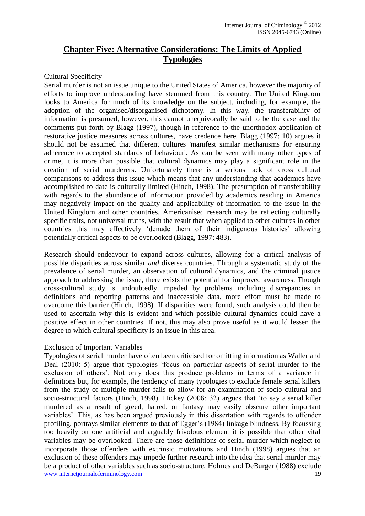## **Chapter Five: Alternative Considerations: The Limits of Applied Typologies**

#### Cultural Specificity

Serial murder is not an issue unique to the United States of America, however the majority of efforts to improve understanding have stemmed from this country. The United Kingdom looks to America for much of its knowledge on the subject, including, for example, the adoption of the organised/disorganised dichotomy. In this way, the transferability of information is presumed, however, this cannot unequivocally be said to be the case and the comments put forth by Blagg (1997), though in reference to the unorthodox application of restorative justice measures across cultures, have credence here. Blagg (1997: 10) argues it should not be assumed that different cultures 'manifest similar mechanisms for ensuring adherence to accepted standards of behaviour'. As can be seen with many other types of crime, it is more than possible that cultural dynamics may play a significant role in the creation of serial murderers. Unfortunately there is a serious lack of cross cultural comparisons to address this issue which means that any understanding that academics have accomplished to date is culturally limited (Hinch, 1998). The presumption of transferability with regards to the abundance of information provided by academics residing in America may negatively impact on the quality and applicability of information to the issue in the United Kingdom and other countries. Americanised research may be reflecting culturally specific traits, not universal truths, with the result that when applied to other cultures in other countries this may effectively 'denude them of their indigenous histories' allowing potentially critical aspects to be overlooked (Blagg, 1997: 483).

Research should endeavour to expand across cultures, allowing for a critical analysis of possible disparities across similar *and* diverse countries. Through a systematic study of the prevalence of serial murder, an observation of cultural dynamics, and the criminal justice approach to addressing the issue, there exists the potential for improved awareness. Though cross-cultural study is undoubtedly impeded by problems including discrepancies in definitions and reporting patterns and inaccessible data, more effort must be made to overcome this barrier (Hinch, 1998). If disparities were found, such analysis could then be used to ascertain why this is evident and which possible cultural dynamics could have a positive effect in other countries. If not, this may also prove useful as it would lessen the degree to which cultural specificity is an issue in this area.

#### Exclusion of Important Variables

www.internetjournalofcriminology.com 19 Typologies of serial murder have often been criticised for omitting information as Waller and Deal (2010: 5) argue that typologies 'focus on particular aspects of serial murder to the exclusion of others'. Not only does this produce problems in terms of a variance in definitions but, for example, the tendency of many typologies to exclude female serial killers from the study of multiple murder fails to allow for an examination of socio-cultural and socio-structural factors (Hinch, 1998). Hickey (2006: 32) argues that 'to say a serial killer murdered as a result of greed, hatred, or fantasy may easily obscure other important variables'. This, as has been argued previously in this dissertation with regards to offender profiling, portrays similar elements to that of Egger's (1984) linkage blindness. By focussing too heavily on one artificial and arguably frivolous element it is possible that other vital variables may be overlooked. There are those definitions of serial murder which neglect to incorporate those offenders with extrinsic motivations and Hinch (1998) argues that an exclusion of these offenders may impede further research into the idea that serial murder may be a product of other variables such as socio-structure. Holmes and DeBurger (1988) exclude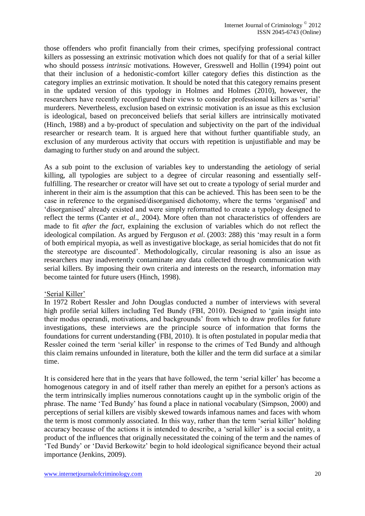those offenders who profit financially from their crimes, specifying professional contract killers as possessing an extrinsic motivation which does not qualify for that of a serial killer who should possess *intrinsic* motivations. However, Gresswell and Hollin (1994) point out that their inclusion of a hedonistic-comfort killer category defies this distinction as the category implies an extrinsic motivation. It should be noted that this category remains present in the updated version of this typology in Holmes and Holmes (2010), however, the researchers have recently reconfigured their views to consider professional killers as 'serial' murderers. Nevertheless, exclusion based on extrinsic motivation is an issue as this exclusion is ideological, based on preconceived beliefs that serial killers are intrinsically motivated (Hinch, 1988) and a by-product of speculation and subjectivity on the part of the individual researcher or research team. It is argued here that without further quantifiable study, an exclusion of any murderous activity that occurs with repetition is unjustifiable and may be damaging to further study on and around the subject.

As a sub point to the exclusion of variables key to understanding the aetiology of serial killing, all typologies are subject to a degree of circular reasoning and essentially selffulfilling. The researcher or creator will have set out to create a typology of serial murder and inherent in their aim is the assumption that this can be achieved. This has been seen to be the case in reference to the organised/disorganised dichotomy, where the terms 'organised' and 'disorganised' already existed and were simply reformatted to create a typology designed to reflect the terms (Canter *et al*., 2004). More often than not characteristics of offenders are made to fit *after the fact*, explaining the exclusion of variables which do not reflect the ideological compilation. As argued by Ferguson *et al*. (2003: 288) this 'may result in a form of both empirical myopia, as well as investigative blockage, as serial homicides that do not fit the stereotype are discounted'. Methodologically, circular reasoning is also an issue as researchers may inadvertently contaminate any data collected through communication with serial killers. By imposing their own criteria and interests on the research, information may become tainted for future users (Hinch, 1998).

#### 'Serial Killer'

In 1972 Robert Ressler and John Douglas conducted a number of interviews with several high profile serial killers including Ted Bundy (FBI, 2010). Designed to 'gain insight into their modus operandi, motivations, and backgrounds' from which to draw profiles for future investigations, these interviews are the principle source of information that forms the foundations for current understanding (FBI, 2010). It is often postulated in popular media that Ressler coined the term 'serial killer' in response to the crimes of Ted Bundy and although this claim remains unfounded in literature, both the killer and the term did surface at a similar time.

It is considered here that in the years that have followed, the term 'serial killer' has become a homogenous category in and of itself rather than merely an epithet for a person's actions as the term intrinsically implies numerous connotations caught up in the symbolic origin of the phrase. The name 'Ted Bundy' has found a place in national vocabulary (Simpson, 2000) and perceptions of serial killers are visibly skewed towards infamous names and faces with whom the term is most commonly associated. In this way, rather than the term 'serial killer' holding accuracy because of the actions it is intended to describe, a 'serial killer' is a social entity, a product of the influences that originally necessitated the coining of the term and the names of 'Ted Bundy' or 'David Berkowitz' begin to hold ideological significance beyond their actual importance (Jenkins, 2009).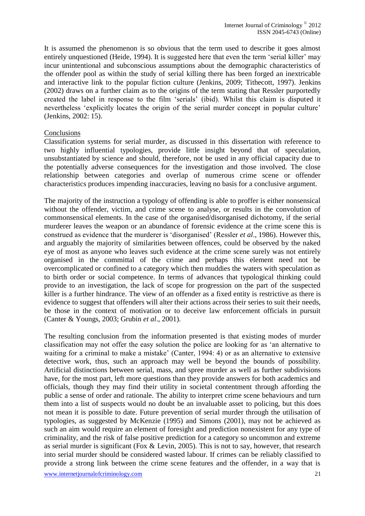It is assumed the phenomenon is so obvious that the term used to describe it goes almost entirely unquestioned (Heide, 1994). It is suggested here that even the term 'serial killer' may incur unintentional and subconscious assumptions about the demographic characteristics of the offender pool as within the study of serial killing there has been forged an inextricable and interactive link to the popular fiction culture (Jenkins, 2009; Tithecott, 1997). Jenkins (2002) draws on a further claim as to the origins of the term stating that Ressler purportedly created the label in response to the film 'serials' (ibid). Whilst this claim is disputed it nevertheless 'explicitly locates the origin of the serial murder concept in popular culture' (Jenkins, 2002: 15).

#### Conclusions

Classification systems for serial murder, as discussed in this dissertation with reference to two highly influential typologies, provide little insight beyond that of speculation, unsubstantiated by science and should, therefore, not be used in any official capacity due to the potentially adverse consequences for the investigation and those involved. The close relationship between categories and overlap of numerous crime scene or offender characteristics produces impending inaccuracies, leaving no basis for a conclusive argument.

The majority of the instruction a typology of offending is able to proffer is either nonsensical without the offender, victim, and crime scene to analyse, or results in the convolution of commonsensical elements. In the case of the organised/disorganised dichotomy, if the serial murderer leaves the weapon or an abundance of forensic evidence at the crime scene this is construed as evidence that the murderer is 'disorganised' (Ressler *et al*., 1986). However this, and arguably the majority of similarities between offences, could be observed by the naked eye of most as anyone who leaves such evidence at the crime scene surely was not entirely organised in the committal of the crime and perhaps this element need not be overcomplicated or confined to a category which then muddies the waters with speculation as to birth order or social competence. In terms of advances that typological thinking could provide to an investigation, the lack of scope for progression on the part of the suspected killer is a further hindrance. The view of an offender as a fixed entity is restrictive as there is evidence to suggest that offenders will alter their actions across their series to suit their needs, be those in the context of motivation or to deceive law enforcement officials in pursuit (Canter & Youngs, 2003; Grubin *et al*., 2001).

The resulting conclusion from the information presented is that existing modes of murder classification may not offer the easy solution the police are looking for as 'an alternative to waiting for a criminal to make a mistake' (Canter, 1994: 4) or as an alternative to extensive detective work, thus, such an approach may well be beyond the bounds of possibility. Artificial distinctions between serial, mass, and spree murder as well as further subdivisions have, for the most part, left more questions than they provide answers for both academics and officials, though they may find their utility in societal contentment through affording the public a sense of order and rationale. The ability to interpret crime scene behaviours and turn them into a list of suspects would no doubt be an invaluable asset to policing, but this does not mean it is possible to date. Future prevention of serial murder through the utilisation of typologies, as suggested by McKenzie (1995) and Simons (2001), may not be achieved as such an aim would require an element of foresight and prediction nonexistent for any type of criminality, and the risk of false positive prediction for a category so uncommon and extreme as serial murder is significant (Fox & Levin, 2005). This is not to say, however, that research into serial murder should be considered wasted labour. If crimes can be reliably classified to provide a strong link between the crime scene features and the offender, in a way that is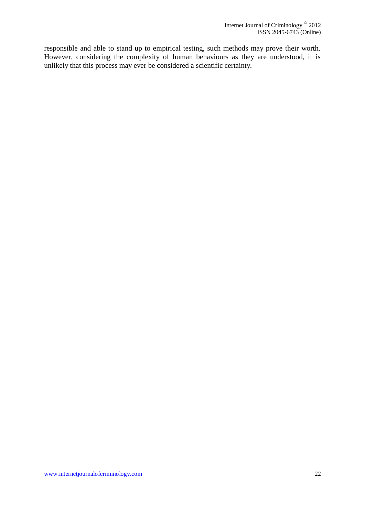responsible and able to stand up to empirical testing, such methods may prove their worth. However, considering the complexity of human behaviours as they are understood, it is unlikely that this process may ever be considered a scientific certainty.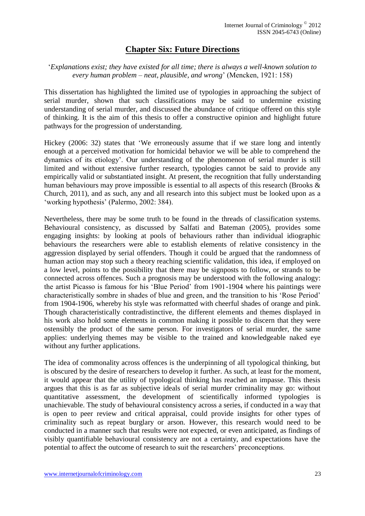## **Chapter Six: Future Directions**

#### '*Explanations exist; they have existed for all time; there is always a well-known solution to every human problem – neat, plausible, and wrong*' (Mencken, 1921: 158)

This dissertation has highlighted the limited use of typologies in approaching the subject of serial murder, shown that such classifications may be said to undermine existing understanding of serial murder, and discussed the abundance of critique offered on this style of thinking. It is the aim of this thesis to offer a constructive opinion and highlight future pathways for the progression of understanding.

Hickey (2006: 32) states that 'We erroneously assume that if we stare long and intently enough at a perceived motivation for homicidal behavior we will be able to comprehend the dynamics of its etiology'. Our understanding of the phenomenon of serial murder is still limited and without extensive further research, typologies cannot be said to provide any empirically valid or substantiated insight. At present, the recognition that fully understanding human behaviours may prove impossible is essential to all aspects of this research (Brooks & Church, 2011), and as such, any and all research into this subject must be looked upon as a 'working hypothesis' (Palermo, 2002: 384).

Nevertheless, there may be some truth to be found in the threads of classification systems. Behavioural consistency, as discussed by Salfati and Bateman (2005), provides some engaging insights: by looking at pools of behaviours rather than individual idiographic behaviours the researchers were able to establish elements of relative consistency in the aggression displayed by serial offenders. Though it could be argued that the randomness of human action may stop such a theory reaching scientific validation, this idea, if employed on a low level, points to the possibility that there may be signposts to follow, or strands to be connected across offences. Such a prognosis may be understood with the following analogy: the artist Picasso is famous for his 'Blue Period' from 1901-1904 where his paintings were characteristically sombre in shades of blue and green, and the transition to his 'Rose Period' from 1904-1906, whereby his style was reformatted with cheerful shades of orange and pink. Though characteristically contradistinctive, the different elements and themes displayed in his work also hold some elements in common making it possible to discern that they were ostensibly the product of the same person. For investigators of serial murder, the same applies: underlying themes may be visible to the trained and knowledgeable naked eye without any further applications.

The idea of commonality across offences is the underpinning of all typological thinking, but is obscured by the desire of researchers to develop it further. As such, at least for the moment, it would appear that the utility of typological thinking has reached an impasse. This thesis argues that this is as far as subjective ideals of serial murder criminality may go: without quantitative assessment, the development of scientifically informed typologies is unachievable. The study of behavioural consistency across a series, if conducted in a way that is open to peer review and critical appraisal, could provide insights for other types of criminality such as repeat burglary or arson. However, this research would need to be conducted in a manner such that results were not expected, or even anticipated, as findings of visibly quantifiable behavioural consistency are not a certainty, and expectations have the potential to affect the outcome of research to suit the researchers' preconceptions.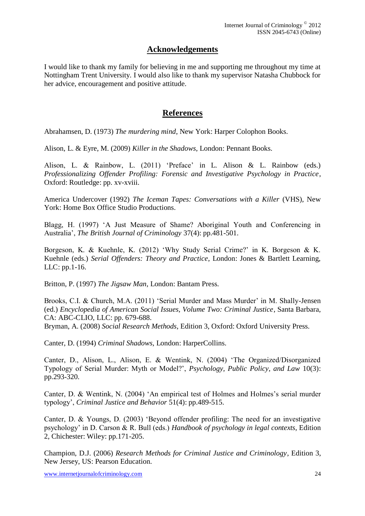## **Acknowledgements**

I would like to thank my family for believing in me and supporting me throughout my time at Nottingham Trent University. I would also like to thank my supervisor Natasha Chubbock for her advice, encouragement and positive attitude.

## **References**

Abrahamsen, D. (1973) *The murdering mind*, New York: Harper Colophon Books.

Alison, L. & Eyre, M. (2009) *Killer in the Shadows*, London: Pennant Books.

Alison, L. & Rainbow, L. (2011) 'Preface' in L. Alison & L. Rainbow (eds.) *Professionalizing Offender Profiling: Forensic and Investigative Psychology in Practice*, Oxford: Routledge: pp. xv-xviii.

America Undercover (1992) *The Iceman Tapes: Conversations with a Killer* (VHS), New York: Home Box Office Studio Productions.

Blagg, H. (1997) 'A Just Measure of Shame? Aboriginal Youth and Conferencing in Australia', *The British Journal of Criminology* 37(4): pp.481-501.

Borgeson, K. & Kuehnle, K. (2012) 'Why Study Serial Crime?' in K. Borgeson & K. Kuehnle (eds.) *Serial Offenders: Theory and Practice*, London: Jones & Bartlett Learning, LLC: pp.1-16.

Britton, P. (1997) *The Jigsaw Man*, London: Bantam Press.

Brooks, C.I. & Church, M.A. (2011) 'Serial Murder and Mass Murder' in M. Shally-Jensen (ed.) *Encyclopedia of American Social Issues, Volume Two: Criminal Justice*, Santa Barbara, CA: ABC-CLIO, LLC: pp. 679-688.

Bryman, A. (2008) *Social Research Methods*, Edition 3, Oxford: Oxford University Press.

Canter, D. (1994) *Criminal Shadows*, London: HarperCollins.

Canter, D., Alison, L., Alison, E. & Wentink, N. (2004) 'The Organized/Disorganized Typology of Serial Murder: Myth or Model?', *Psychology, Public Policy, and Law* 10(3): pp.293-320.

Canter, D. & Wentink, N. (2004) 'An empirical test of Holmes and Holmes's serial murder typology', *Criminal Justice and Behavior* 51(4): pp.489-515.

Canter, D. & Youngs, D. (2003) 'Beyond offender profiling: The need for an investigative psychology' in D. Carson & R. Bull (eds.) *Handbook of psychology in legal contexts*, Edition 2, Chichester: Wiley: pp.171-205.

Champion, D.J. (2006) *Research Methods for Criminal Justice and Criminology*, Edition 3, New Jersey, US: Pearson Education.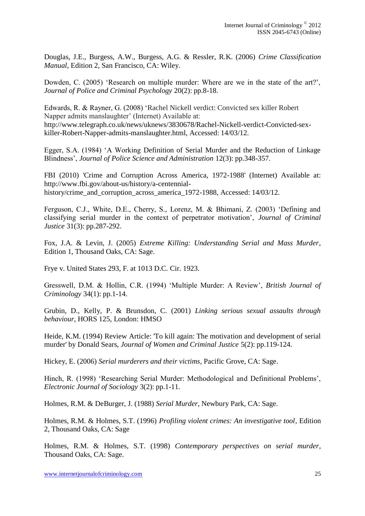Douglas, J.E., Burgess, A.W., Burgess, A.G. & Ressler, R.K. (2006) *Crime Classification Manual*, Edition 2, San Francisco, CA: Wiley.

Dowden, C. (2005) 'Research on multiple murder: Where are we in the state of the art?', *Journal of Police and Criminal Psychology* 20(2): pp.8-18.

Edwards, R. & Rayner, G. (2008) 'Rachel Nickell verdict: Convicted sex killer Robert Napper admits manslaughter' (Internet) Available at: http://www.telegraph.co.uk/news/uknews/3830678/Rachel-Nickell-verdict-Convicted-sexkiller-Robert-Napper-admits-manslaughter.html, Accessed: 14/03/12.

Egger, S.A. (1984) 'A Working Definition of Serial Murder and the Reduction of Linkage Blindness', *Journal of Police Science and Administration* 12(3): pp.348-357.

FBI (2010) 'Crime and Corruption Across America, 1972-1988' (Internet) Available at: http://www.fbi.gov/about-us/history/a-centennialhistory/crime\_and\_corruption\_across\_america\_1972-1988, Accessed: 14/03/12.

Ferguson, C.J., White, D.E., Cherry, S., Lorenz, M. & Bhimani, Z. (2003) 'Defining and classifying serial murder in the context of perpetrator motivation', *Journal of Criminal Justice* 31(3): pp.287-292.

Fox, J.A. & Levin, J. (2005) *Extreme Killing: Understanding Serial and Mass Murder*, Edition 1, Thousand Oaks, CA: Sage.

Frye v. United States 293, F. at 1013 D.C. Cir. 1923.

Gresswell, D.M. & Hollin, C.R. (1994) 'Multiple Murder: A Review', *British Journal of Criminology* 34(1): pp.1-14.

Grubin, D., Kelly, P. & Brunsdon, C. (2001) *Linking serious sexual assaults through behaviour*, HORS 125, London: HMSO

Heide, K.M. (1994) Review Article: 'To kill again: The motivation and development of serial murder' by Donald Sears, *Journal of Women and Criminal Justice* 5(2): pp.119-124.

Hickey, E. (2006) *Serial murderers and their victims*, Pacific Grove, CA: Sage.

Hinch, R. (1998) 'Researching Serial Murder: Methodological and Definitional Problems', *Electronic Journal of Sociology* 3(2): pp.1-11.

Holmes, R.M. & DeBurger, J. (1988) *Serial Murder*, Newbury Park, CA: Sage.

Holmes, R.M. & Holmes, S.T. (1996) *Profiling violent crimes: An investigative tool*, Edition 2, Thousand Oaks, CA: Sage

Holmes, R.M. & Holmes, S.T. (1998) *Contemporary perspectives on serial murder*, Thousand Oaks, CA: Sage.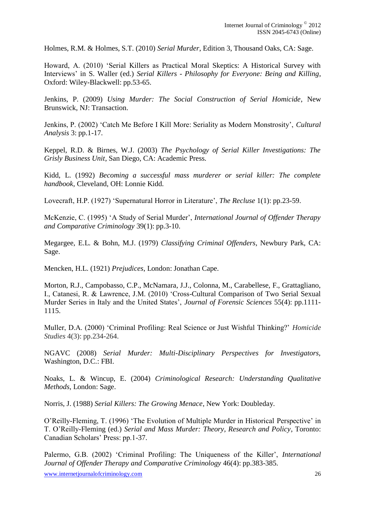Holmes, R.M. & Holmes, S.T. (2010) *Serial Murder*, Edition 3, Thousand Oaks, CA: Sage.

Howard, A. (2010) 'Serial Killers as Practical Moral Skeptics: A Historical Survey with Interviews' in S. Waller (ed.) *Serial Killers - Philosophy for Everyone: Being and Killing*, Oxford: Wiley-Blackwell: pp.53-65.

Jenkins, P. (2009) *Using Murder: The Social Construction of Serial Homicide*, New Brunswick, NJ: Transaction.

Jenkins, P. (2002) 'Catch Me Before I Kill More: Seriality as Modern Monstrosity', *Cultural Analysis* 3: pp.1-17.

Keppel, R.D. & Birnes, W.J. (2003) *The Psychology of Serial Killer Investigations: The Grisly Business Unit*, San Diego, CA: Academic Press.

Kidd, L. (1992) *Becoming a successful mass murderer or serial killer: The complete handbook*, Cleveland, OH: Lonnie Kidd.

Lovecraft, H.P. (1927) 'Supernatural Horror in Literature', *The Recluse* 1(1): pp.23-59.

McKenzie, C. (1995) 'A Study of Serial Murder', *International Journal of Offender Therapy and Comparative Criminology* 39(1): pp.3-10.

Megargee, E.L. & Bohn, M.J. (1979) *Classifying Criminal Offenders*, Newbury Park, CA: Sage.

Mencken, H.L. (1921) *Prejudices*, London: Jonathan Cape.

Morton, R.J., Campobasso, C.P., McNamara, J.J., Colonna, M., Carabellese, F., Grattagliano, I., Catanesi, R. & Lawrence, J.M. (2010) 'Cross-Cultural Comparison of Two Serial Sexual Murder Series in Italy and the United States', *Journal of Forensic Sciences* 55(4): pp.1111- 1115.

Muller, D.A. (2000) 'Criminal Profiling: Real Science or Just Wishful Thinking?' *Homicide Studies* 4(3): pp.234-264.

NGAVC (2008) *Serial Murder: Multi-Disciplinary Perspectives for Investigators,*  Washington, D.C.: FBI.

Noaks, L. & Wincup, E. (2004) *Criminological Research: Understanding Qualitative Methods*, London: Sage.

Norris, J. (1988) *Serial Killers: The Growing Menace*, New York: Doubleday.

O'Reilly-Fleming, T. (1996) 'The Evolution of Multiple Murder in Historical Perspective' in T. O'Reilly-Fleming (ed.) *Serial and Mass Murder: Theory, Research and Policy*, Toronto: Canadian Scholars' Press: pp.1-37.

Palermo, G.B. (2002) 'Criminal Profiling: The Uniqueness of the Killer', *International Journal of Offender Therapy and Comparative Criminology* 46(4): pp.383-385.

www.internetjournalofcriminology.com 26